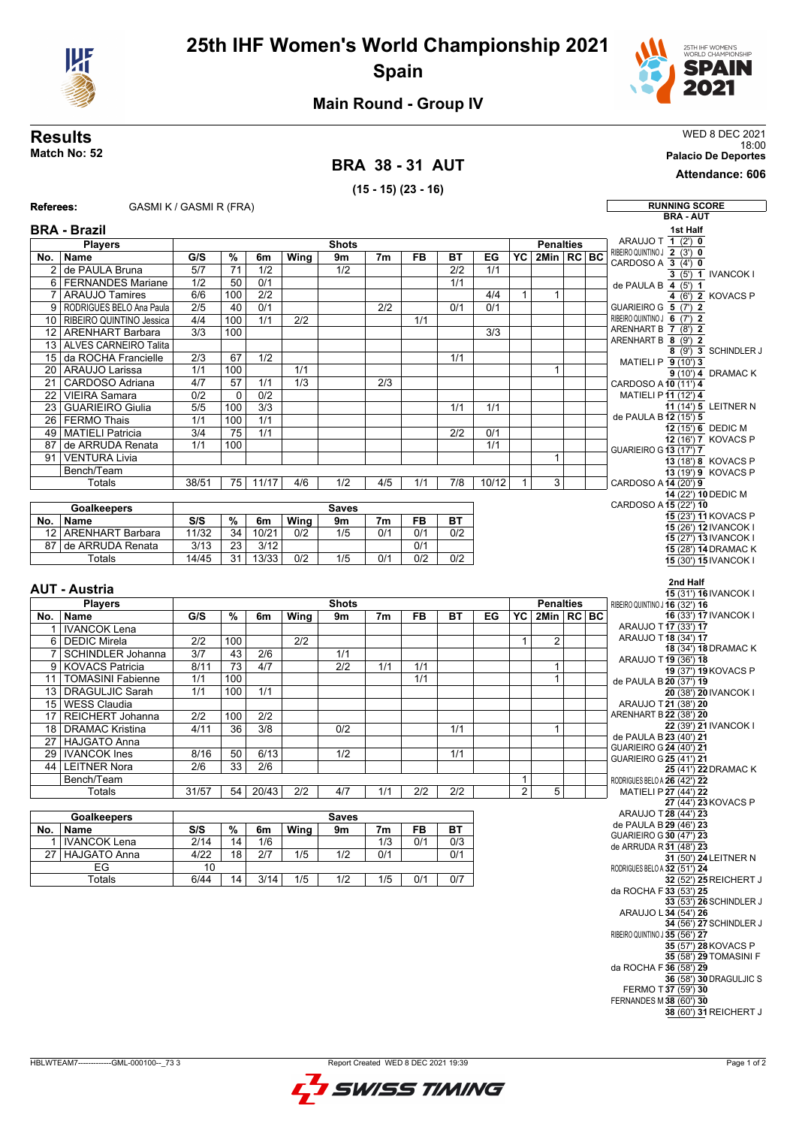



## **Main Round - Group IV**

**Results** WED 8 DEC 2021

|                                                             | Match No: 52                                      |                  |                 |                         |                  |              |                                     |     |            |           |                 |                  |                 |                                                    | 18:00<br><b>Palacio De Deportes</b>                   |  |
|-------------------------------------------------------------|---------------------------------------------------|------------------|-----------------|-------------------------|------------------|--------------|-------------------------------------|-----|------------|-----------|-----------------|------------------|-----------------|----------------------------------------------------|-------------------------------------------------------|--|
| <b>BRA 38-31 AUT</b>                                        |                                                   |                  |                 |                         |                  |              |                                     |     |            |           |                 |                  | Attendance: 606 |                                                    |                                                       |  |
|                                                             |                                                   |                  |                 |                         |                  |              | $(15 - 15)$ $(23 - 16)$             |     |            |           |                 |                  |                 |                                                    |                                                       |  |
| <b>Referees:</b>                                            | GASMI K / GASMI R (FRA)                           |                  |                 |                         |                  |              |                                     |     |            |           |                 |                  |                 |                                                    | <b>RUNNING SCORE</b>                                  |  |
|                                                             |                                                   |                  |                 |                         |                  |              |                                     |     |            |           |                 |                  |                 |                                                    | <b>BRA - AUT</b>                                      |  |
|                                                             | <b>BRA - Brazil</b>                               |                  |                 |                         |                  |              |                                     |     |            |           |                 |                  |                 |                                                    | 1st Half<br>ARAUJO T 1 (2') 0                         |  |
|                                                             | <b>Players</b>                                    | G/S              |                 |                         |                  | <b>Shots</b> |                                     |     |            |           | YC              | <b>Penalties</b> | 2Min   RC   BC  | RIBEIRO QUINTINO J 2 (3') 0                        |                                                       |  |
| No.                                                         | <b>Name</b><br>2 de PAULA Bruna                   | 5/7              | %<br>71         | 6m<br>1/2               | Wing             | 9m<br>1/2    | 7 <sub>m</sub>                      | FB  | ВT<br>2/2  | EG<br>1/1 |                 |                  |                 | CARDOSO A $\overline{3}$ (4') 0                    |                                                       |  |
|                                                             | 6   FERNANDES Mariane                             | 1/2              | 50              | 0/1                     |                  |              |                                     |     | 1/1        |           |                 |                  |                 | de PAULA B 4 (5') 1                                | $3(5')$ 1 <b>IVANCOK I</b>                            |  |
|                                                             | 7 ARAUJO Tamires                                  | 6/6              | 100             | 2/2                     |                  |              |                                     |     |            | 4/4       | $\mathbf{1}$    | $\mathbf{1}$     |                 |                                                    | 4 (6') 2 KOVACS P                                     |  |
|                                                             | 9   RODRIGUES BELO Ana Paula                      | 2/5              | 40              | 0/1                     |                  |              | 2/2                                 |     | 0/1        | 0/1       |                 |                  |                 | GUARIEIRO G 5 (7') 2                               |                                                       |  |
|                                                             | 10 RIBEIRO QUINTINO Jessica                       | 4/4              | 100             | 1/1                     | 2/2              |              |                                     | 1/1 |            |           |                 |                  |                 | RIBEIRO QUINTINO J 6 (7') 2<br>ARENHART B 7 (8') 2 |                                                       |  |
|                                                             | 12   ARENHART Barbara<br>13 ALVES CARNEIRO Talita | 3/3              | 100             |                         |                  |              |                                     |     |            | 3/3       |                 |                  |                 | ARENHART B 8 (9') 2                                |                                                       |  |
|                                                             | 15 da ROCHA Francielle                            | $\overline{2/3}$ | 67              | $\overline{1/2}$        |                  |              |                                     |     | 1/1        |           |                 |                  |                 |                                                    | 8 (9') 3 SCHINDLER J                                  |  |
|                                                             | 20   ARAUJO Larissa                               | 1/1              | 100             |                         | 1/1              |              |                                     |     |            |           |                 | 1                |                 |                                                    | MATIELI P 9 (10') 3<br>9 (10') 4 DRAMAC K             |  |
| 21 <sub>1</sub>                                             | CARDOSO Adriana                                   | 4/7              | 57              | 1/1                     | $\overline{1/3}$ |              | $\overline{2/3}$                    |     |            |           |                 |                  |                 | CARDOSO A 10 (11') 4                               |                                                       |  |
| 22 <sub>1</sub>                                             | <b>VIEIRA Samara</b>                              | 0/2              | 0               | $\overline{0/2}$        |                  |              |                                     |     |            |           |                 |                  |                 |                                                    | MATIELI P11 (12') 4                                   |  |
| 23                                                          | <b>GUARIEIRO Giulia</b><br>26 FERMO Thais         | 5/5<br>1/1       | 100<br>100      | $\overline{3/3}$<br>1/1 |                  |              |                                     |     | 1/1        | 1/1       |                 |                  |                 | de PAULA B12 (15') 5                               | 11 (14') 5 LEITNER N                                  |  |
|                                                             | 49 MATIELI Patricia                               | 3/4              | 75              | 1/1                     |                  |              |                                     |     | 2/2        | 0/1       |                 |                  |                 |                                                    | $12(15)$ 6 DEDIC M                                    |  |
|                                                             | 87 de ARRUDA Renata                               | 1/1              | 100             |                         |                  |              |                                     |     |            | 1/1       |                 |                  |                 | <b>GUARIEIRO G13 (17') 7</b>                       | 12 (16') 7 KOVACS P                                   |  |
|                                                             | 91 VENTURA Livia                                  |                  |                 |                         |                  |              |                                     |     |            |           |                 | 1                |                 |                                                    | 13 (18') 8 KOVACS P                                   |  |
|                                                             | Bench/Team                                        |                  |                 |                         |                  |              |                                     |     |            |           |                 |                  |                 |                                                    | 13 (19') 9 KOVACS P                                   |  |
|                                                             | Totals                                            | 38/51            | 75 I            | 11/17                   | 4/6              | 1/2          | 4/5                                 | 1/1 | 7/8        | 10/12     | $\mathbf{1}$    | 3                |                 | CARDOSO A 14 (20') 9                               | 14 (22') 10 DEDIC M                                   |  |
| CARDOSO A 15 (22') 10<br><b>Goalkeepers</b><br><b>Saves</b> |                                                   |                  |                 |                         |                  |              |                                     |     |            |           |                 |                  |                 |                                                    |                                                       |  |
| No.                                                         | Name                                              | S/S              | %               | 6m                      | Wing             | 9m           | 7m                                  | FB  | ВT         |           |                 |                  |                 |                                                    | 15 (23') 11 KOVACS P                                  |  |
|                                                             | 12 ARENHART Barbara                               | 11/32            | $\overline{34}$ | 10/21                   | 0/2              | 1/5          | 0/1                                 | 0/1 | 0/2        |           |                 |                  |                 |                                                    | 15 (26') 12 IVANCOK I<br>15 (27') 13 IVANCOK I        |  |
| 87                                                          | de ARRUDA Renata                                  | 3/13             | 23              | 3/12                    |                  |              |                                     | 0/1 |            |           |                 |                  |                 |                                                    | 15 (28') 14 DRAMAC K                                  |  |
|                                                             | Totals                                            | 14/45            | 31 l            | 13/33                   | 0/2              | 1/5          | 0/1                                 | 0/2 | 0/2        |           |                 |                  |                 |                                                    | 15 (30') 15 IVANCOK I                                 |  |
|                                                             |                                                   |                  |                 |                         |                  |              |                                     |     |            |           |                 |                  |                 |                                                    | 2nd Half                                              |  |
|                                                             | AUT - Austria                                     |                  |                 |                         |                  |              |                                     |     |            |           |                 |                  |                 |                                                    | 15 (31') 16 IVANCOK I                                 |  |
|                                                             | <b>Players</b>                                    |                  |                 |                         |                  | <b>Shots</b> |                                     |     |            |           |                 | <b>Penalties</b> |                 | RIBEIRO QUINTINO J 16 (32') 16                     | 16 (33') 17 IVANCOK I                                 |  |
| No.                                                         | Name<br>1 IVANCOK Lena                            | G/S              | %               | 6m                      | Wing             | 9m           | 7m                                  | FB  | ВT         | EG        | $\overline{Y}C$ |                  | 2Min   RC   BC  |                                                    | ARAUJO T17 (33') 17                                   |  |
|                                                             | 6 DEDIC Mirela                                    | 2/2              | 100             |                         | 2/2              |              |                                     |     |            |           | $\mathbf{1}$    | 2                |                 |                                                    | ARAUJO T18 (34') 17                                   |  |
|                                                             | 7 SCHINDLER Johanna                               | 3/7              | 43              | 2/6                     |                  | 1/1          |                                     |     |            |           |                 |                  |                 |                                                    | 18 (34') 18 DRAMAC K<br>ARAUJO T19 (36') 18           |  |
|                                                             | 9 KOVACS Patricia                                 | 8/11             | 73              | 4/7                     |                  | 2/2          | 1/1                                 | 1/1 |            |           |                 | 1                |                 |                                                    | 19 (37') 19 KOVACS P                                  |  |
|                                                             | 11   TOMASINI Fabienne                            | 1/1              | 100             |                         |                  |              |                                     | 1/1 |            |           |                 | $\mathbf{1}$     |                 |                                                    | de PAULA B 20 (37') 19                                |  |
|                                                             | 13 DRAGULJIC Sarah<br>15   WESS Claudia           | 1/1              | 100             | 1/1                     |                  |              |                                     |     |            |           |                 |                  |                 |                                                    | 20 (38') 20 IVANCOK I<br>ARAUJO T 21 (38') 20         |  |
| 17                                                          | REICHERT Johanna                                  | 2/2              | 100             | 2/2                     |                  |              |                                     |     |            |           |                 |                  |                 | ARENHART B 22 (38') 20                             |                                                       |  |
|                                                             | 18 DRAMAC Kristina                                | 4/11             | 36              | 3/8                     |                  | 0/2          |                                     |     | 1/1        |           |                 | $\mathbf{1}$     |                 |                                                    | 22 (39') 21 IVANCOK I                                 |  |
|                                                             | 27 HAJGATO Anna                                   |                  |                 |                         |                  |              |                                     |     |            |           |                 |                  |                 | <b>GUARIEIRO G 24 (40') 21</b>                     | de PAULA B 23 (40') 21                                |  |
|                                                             | 29   IVANCOK Ines                                 | 8/16             | 50              | 6/13                    |                  | 1/2          |                                     |     | 1/1        |           |                 |                  |                 | <b>GUARIEIRO G 25 (41') 21</b>                     |                                                       |  |
|                                                             | 44   LEITNER Nora<br>Bench/Team                   | 2/6              | 33              | 2/6                     |                  |              |                                     |     |            |           | $\mathbf{1}$    |                  |                 |                                                    | 25 (41') 22 DRAMAC K                                  |  |
|                                                             | Totals                                            | 31/57            | 54              | 20/43                   | 2/2              | 4/7          | 1/1                                 | 2/2 | 2/2        |           | $\overline{2}$  | 5                |                 |                                                    | RODRIGUES BELO A 26 (42') 22<br>MATIELI P 27 (44') 22 |  |
|                                                             |                                                   |                  |                 |                         |                  |              |                                     |     |            |           |                 |                  |                 |                                                    | 27 (44') 23 KOVACS P                                  |  |
|                                                             | <b>Goalkeepers</b>                                |                  |                 |                         |                  | <b>Saves</b> |                                     |     |            |           |                 |                  |                 |                                                    | ARAUJO T28 (44') 23<br>de PAULA B 29 (46') 23         |  |
| No.                                                         | Name                                              | S/S              | $\%$            | 6m                      | Wing             | 9m           | 7m                                  | FB  | ВT         |           |                 |                  |                 |                                                    | GUARIEIRO G 30 (47') 23                               |  |
| 1                                                           | <b>IVANCOK Lena</b><br>27 HAJGATO Anna            | 2/14<br>4/22     | 14<br>18        | 1/6<br>2/7              | 1/5              | 1/2          | 1/3<br>0/1                          | 0/1 | 0/3<br>0/1 |           |                 |                  |                 |                                                    | de ARRUDA R 31 (48') 23                               |  |
|                                                             | EG                                                | 10               |                 |                         |                  |              |                                     |     |            |           |                 |                  |                 |                                                    | 31 (50') 24 LEITNER N<br>RODRIGUES BELO A 32 (51') 24 |  |
|                                                             | Totals                                            | 6/44             | 14              | 3/14                    | 1/5              | 1/2          | 1/5                                 | 0/1 | 0/7        |           |                 |                  |                 |                                                    | 32 (52') 25 REICHERT J                                |  |
|                                                             |                                                   |                  |                 |                         |                  |              |                                     |     |            |           |                 |                  |                 |                                                    | da ROCHA F 33 (53') 25                                |  |
|                                                             |                                                   |                  |                 |                         |                  |              |                                     |     |            |           |                 |                  |                 |                                                    | 33 (53') 26 SCHINDLER J<br>ARAUJO L 34 (54') 26       |  |
|                                                             |                                                   |                  |                 |                         |                  |              |                                     |     |            |           |                 |                  |                 |                                                    | 34 (56') 27 SCHINDLER J                               |  |
|                                                             |                                                   |                  |                 |                         |                  |              |                                     |     |            |           |                 |                  |                 |                                                    | RIBEIRO QUINTINO J 35 (56') 27                        |  |
|                                                             |                                                   |                  |                 |                         |                  |              |                                     |     |            |           |                 |                  |                 |                                                    | 35 (57') 28 KOVACS P<br>35 (58') 29 TOMASINI F        |  |
|                                                             |                                                   |                  |                 |                         |                  |              |                                     |     |            |           |                 |                  |                 |                                                    | da ROCHA F 36 (58') 29                                |  |
|                                                             |                                                   |                  |                 |                         |                  |              |                                     |     |            |           |                 |                  |                 |                                                    | 36 (58') 30 DRAGULJIC S                               |  |
|                                                             |                                                   |                  |                 |                         |                  |              |                                     |     |            |           |                 |                  |                 |                                                    | FERMO T37 (59') 30<br>FERNANDES M 38 (60') 30         |  |
|                                                             |                                                   |                  |                 |                         |                  |              |                                     |     |            |           |                 |                  |                 |                                                    | 38 (60') 31 REICHERT J                                |  |
|                                                             |                                                   |                  |                 |                         |                  |              |                                     |     |            |           |                 |                  |                 |                                                    |                                                       |  |
|                                                             |                                                   |                  |                 |                         |                  |              |                                     |     |            |           |                 |                  |                 |                                                    |                                                       |  |
|                                                             | HBLWTEAM7-------------GML-000100-- 73 3           |                  |                 |                         |                  |              | Report Created WED 8 DEC 2021 19:39 |     |            |           |                 |                  |                 |                                                    | Page 1 of 2                                           |  |
|                                                             |                                                   |                  |                 |                         |                  |              |                                     |     |            |           |                 |                  |                 |                                                    |                                                       |  |